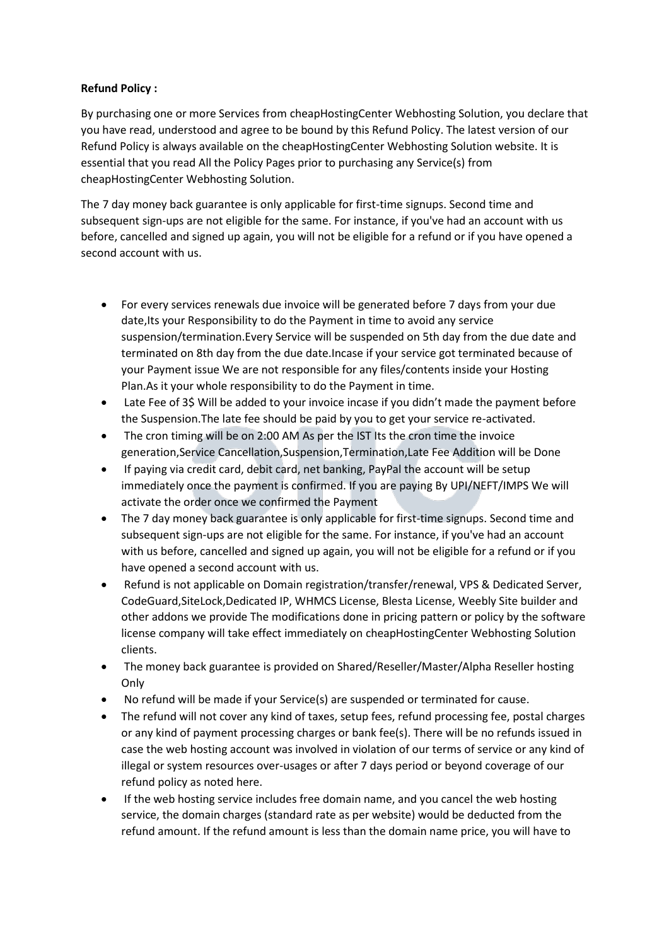## **Refund Policy :**

By purchasing one or more Services from cheapHostingCenter Webhosting Solution, you declare that you have read, understood and agree to be bound by this Refund Policy. The latest version of our Refund Policy is always available on the cheapHostingCenter Webhosting Solution website. It is essential that you read All the Policy Pages prior to purchasing any Service(s) from cheapHostingCenter Webhosting Solution.

The 7 day money back guarantee is only applicable for first-time signups. Second time and subsequent sign-ups are not eligible for the same. For instance, if you've had an account with us before, cancelled and signed up again, you will not be eligible for a refund or if you have opened a second account with us.

- For every services renewals due invoice will be generated before 7 days from your due date,Its your Responsibility to do the Payment in time to avoid any service suspension/termination.Every Service will be suspended on 5th day from the due date and terminated on 8th day from the due date.Incase if your service got terminated because of your Payment issue We are not responsible for any files/contents inside your Hosting Plan.As it your whole responsibility to do the Payment in time.
- Late Fee of 3\$ Will be added to your invoice incase if you didn't made the payment before the Suspension.The late fee should be paid by you to get your service re-activated.
- The cron timing will be on 2:00 AM As per the IST Its the cron time the invoice generation,Service Cancellation,Suspension,Termination,Late Fee Addition will be Done
- If paying via credit card, debit card, net banking, PayPal the account will be setup immediately once the payment is confirmed. If you are paying By UPI/NEFT/IMPS We will activate the order once we confirmed the Payment
- The 7 day money back guarantee is only applicable for first-time signups. Second time and subsequent sign-ups are not eligible for the same. For instance, if you've had an account with us before, cancelled and signed up again, you will not be eligible for a refund or if you have opened a second account with us.
- Refund is not applicable on Domain registration/transfer/renewal, VPS & Dedicated Server, CodeGuard,SiteLock,Dedicated IP, WHMCS License, Blesta License, Weebly Site builder and other addons we provide The modifications done in pricing pattern or policy by the software license company will take effect immediately on cheapHostingCenter Webhosting Solution clients.
- The money back guarantee is provided on Shared/Reseller/Master/Alpha Reseller hosting **Only**
- No refund will be made if your Service(s) are suspended or terminated for cause.
- The refund will not cover any kind of taxes, setup fees, refund processing fee, postal charges or any kind of payment processing charges or bank fee(s). There will be no refunds issued in case the web hosting account was involved in violation of our terms of service or any kind of illegal or system resources over-usages or after 7 days period or beyond coverage of our refund policy as noted here.
- If the web hosting service includes free domain name, and you cancel the web hosting service, the domain charges (standard rate as per website) would be deducted from the refund amount. If the refund amount is less than the domain name price, you will have to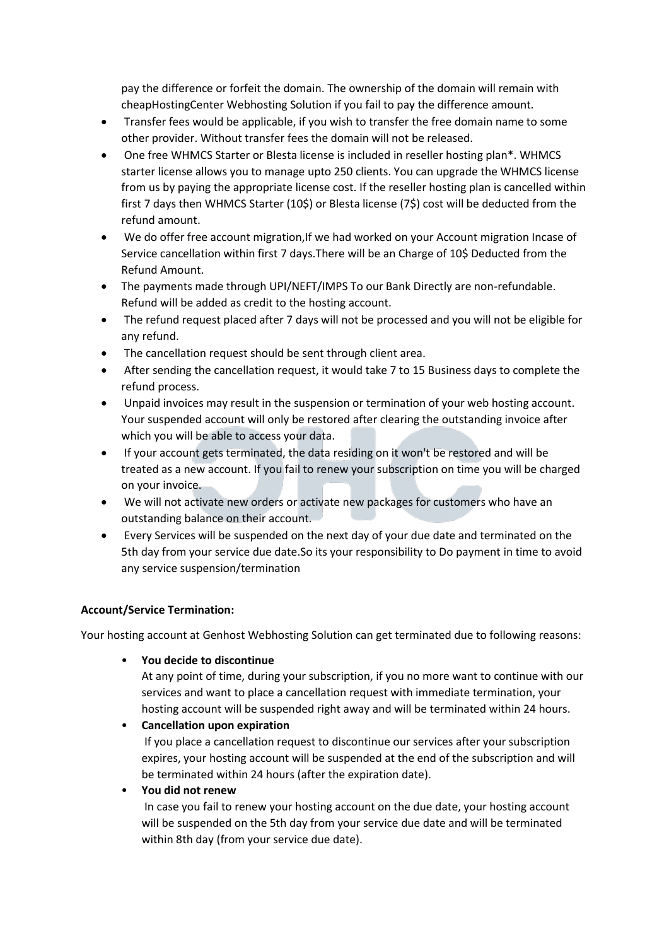pay the difference or forfeit the domain. The ownership of the domain will remain with cheapHostingCenter Webhosting Solution if you fail to pay the difference amount.

- Transfer fees would be applicable, if you wish to transfer the free domain name to some other provider. Without transfer fees the domain will not be released.
- One free WHMCS Starter or Blesta license is included in reseller hosting plan\*. WHMCS starter license allows you to manage upto 250 clients. You can upgrade the WHMCS license from us by paying the appropriate license cost. If the reseller hosting plan is cancelled within first 7 days then WHMCS Starter (10\$) or Blesta license (7\$) cost will be deducted from the refund amount.
- We do offer free account migration, If we had worked on your Account migration Incase of Service cancellation within first 7 days.There will be an Charge of 10\$ Deducted from the Refund Amount.
- The payments made through UPI/NEFT/IMPS To our Bank Directly are non-refundable. Refund will be added as credit to the hosting account.
- The refund request placed after 7 days will not be processed and you will not be eligible for any refund.
- The cancellation request should be sent through client area.
- After sending the cancellation request, it would take 7 to 15 Business days to complete the refund process.
- Unpaid invoices may result in the suspension or termination of your web hosting account. Your suspended account will only be restored after clearing the outstanding invoice after which you will be able to access your data.
- If your account gets terminated, the data residing on it won't be restored and will be treated as a new account. If you fail to renew your subscription on time you will be charged on your invoice.
- We will not activate new orders or activate new packages for customers who have an outstanding balance on their account.
- Every Services will be suspended on the next day of your due date and terminated on the 5th day from your service due date.So its your responsibility to Do payment in time to avoid any service suspension/termination

# **Account/Service Termination:**

Your hosting account at Genhost Webhosting Solution can get terminated due to following reasons:

• **You decide to discontinue**

At any point of time, during your subscription, if you no more want to continue with our services and want to place a cancellation request with immediate termination, your hosting account will be suspended right away and will be terminated within 24 hours.

• **Cancellation upon expiration**

If you place a cancellation request to discontinue our services after your subscription expires, your hosting account will be suspended at the end of the subscription and will be terminated within 24 hours (after the expiration date).

• **You did not renew**

In case you fail to renew your hosting account on the due date, your hosting account will be suspended on the 5th day from your service due date and will be terminated within 8th day (from your service due date).